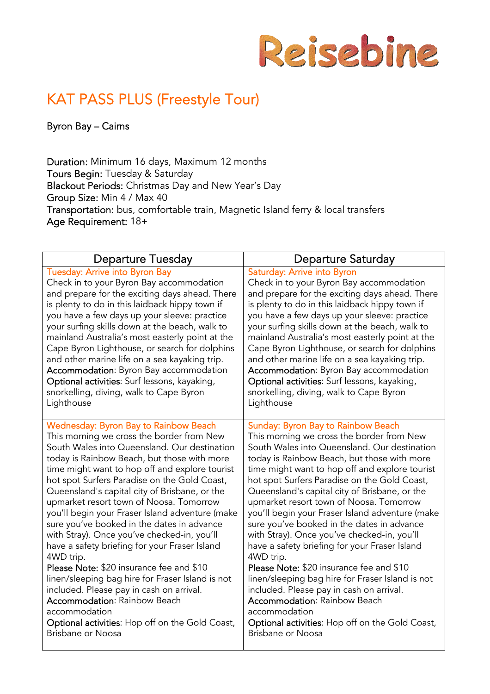

# KAT PASS PLUS (Freestyle Tour)

Byron Bay – Cairns

Duration: Minimum 16 days, Maximum 12 months Tours Begin: Tuesday & Saturday Blackout Periods: Christmas Day and New Year's Day Group Size: Min 4 / Max 40 Transportation: bus, comfortable train, Magnetic Island ferry & local transfers Age Requirement: 18+

| <b>Departure Tuesday</b>                         | <b>Departure Saturday</b>                        |
|--------------------------------------------------|--------------------------------------------------|
| <b>Tuesday: Arrive into Byron Bay</b>            | Saturday: Arrive into Byron                      |
| Check in to your Byron Bay accommodation         | Check in to your Byron Bay accommodation         |
| and prepare for the exciting days ahead. There   | and prepare for the exciting days ahead. There   |
| is plenty to do in this laidback hippy town if   | is plenty to do in this laidback hippy town if   |
| you have a few days up your sleeve: practice     | you have a few days up your sleeve: practice     |
| your surfing skills down at the beach, walk to   | your surfing skills down at the beach, walk to   |
| mainland Australia's most easterly point at the  | mainland Australia's most easterly point at the  |
| Cape Byron Lighthouse, or search for dolphins    | Cape Byron Lighthouse, or search for dolphins    |
| and other marine life on a sea kayaking trip.    | and other marine life on a sea kayaking trip.    |
| Accommodation: Byron Bay accommodation           | Accommodation: Byron Bay accommodation           |
| Optional activities: Surf lessons, kayaking,     | Optional activities: Surf lessons, kayaking,     |
| snorkelling, diving, walk to Cape Byron          | snorkelling, diving, walk to Cape Byron          |
| Lighthouse                                       | Lighthouse                                       |
| <b>Wednesday: Byron Bay to Rainbow Beach</b>     | Sunday: Byron Bay to Rainbow Beach               |
| This morning we cross the border from New        | This morning we cross the border from New        |
| South Wales into Queensland. Our destination     | South Wales into Queensland. Our destination     |
| today is Rainbow Beach, but those with more      | today is Rainbow Beach, but those with more      |
| time might want to hop off and explore tourist   | time might want to hop off and explore tourist   |
| hot spot Surfers Paradise on the Gold Coast,     | hot spot Surfers Paradise on the Gold Coast,     |
| Queensland's capital city of Brisbane, or the    | Queensland's capital city of Brisbane, or the    |
| upmarket resort town of Noosa. Tomorrow          | upmarket resort town of Noosa. Tomorrow          |
| you'll begin your Fraser Island adventure (make  | you'll begin your Fraser Island adventure (make  |
| sure you've booked in the dates in advance       | sure you've booked in the dates in advance       |
| with Stray). Once you've checked-in, you'll      | with Stray). Once you've checked-in, you'll      |
| have a safety briefing for your Fraser Island    | have a safety briefing for your Fraser Island    |
| 4WD trip.                                        | 4WD trip.                                        |
| <b>Please Note: \$20 insurance fee and \$10</b>  | <b>Please Note: \$20 insurance fee and \$10</b>  |
| linen/sleeping bag hire for Fraser Island is not | linen/sleeping bag hire for Fraser Island is not |
| included. Please pay in cash on arrival.         | included. Please pay in cash on arrival.         |
| <b>Accommodation: Rainbow Beach</b>              | <b>Accommodation: Rainbow Beach</b>              |
| accommodation                                    | accommodation                                    |
| Optional activities: Hop off on the Gold Coast,  | Optional activities: Hop off on the Gold Coast,  |
| Brisbane or Noosa                                | Brisbane or Noosa                                |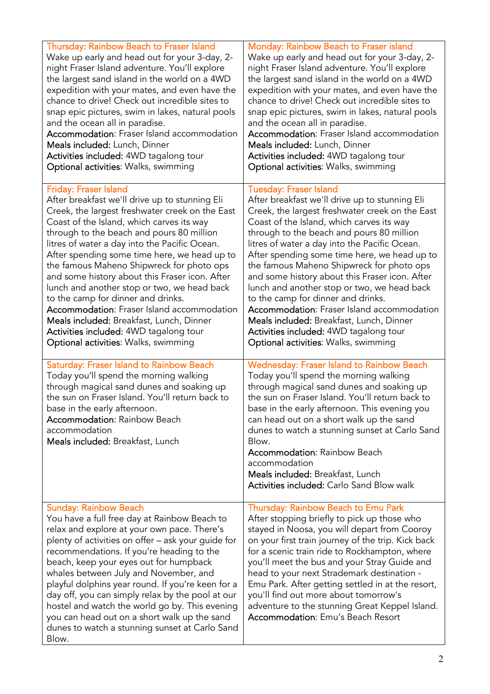| Thursday: Rainbow Beach to Fraser Island<br>Wake up early and head out for your 3-day, 2-<br>night Fraser Island adventure. You'll explore<br>the largest sand island in the world on a 4WD<br>expedition with your mates, and even have the<br>chance to drive! Check out incredible sites to<br>snap epic pictures, swim in lakes, natural pools<br>and the ocean all in paradise.<br><b>Accommodation:</b> Fraser Island accommodation<br>Meals included: Lunch, Dinner<br><b>Activities included: 4WD tagalong tour</b><br>Optional activities: Walks, swimming                                                                                                                                        | Monday: Rainbow Beach to Fraser island<br>Wake up early and head out for your 3-day, 2-<br>night Fraser Island adventure. You'll explore<br>the largest sand island in the world on a 4WD<br>expedition with your mates, and even have the<br>chance to drive! Check out incredible sites to<br>snap epic pictures, swim in lakes, natural pools<br>and the ocean all in paradise.<br><b>Accommodation:</b> Fraser Island accommodation<br>Meals included: Lunch, Dinner<br>Activities included: 4WD tagalong tour<br>Optional activities: Walks, swimming                                                                                                                                                  |
|------------------------------------------------------------------------------------------------------------------------------------------------------------------------------------------------------------------------------------------------------------------------------------------------------------------------------------------------------------------------------------------------------------------------------------------------------------------------------------------------------------------------------------------------------------------------------------------------------------------------------------------------------------------------------------------------------------|-------------------------------------------------------------------------------------------------------------------------------------------------------------------------------------------------------------------------------------------------------------------------------------------------------------------------------------------------------------------------------------------------------------------------------------------------------------------------------------------------------------------------------------------------------------------------------------------------------------------------------------------------------------------------------------------------------------|
| <b>Friday: Fraser Island</b><br>After breakfast we'll drive up to stunning Eli<br>Creek, the largest freshwater creek on the East<br>Coast of the Island, which carves its way<br>through to the beach and pours 80 million<br>litres of water a day into the Pacific Ocean.<br>After spending some time here, we head up to<br>the famous Maheno Shipwreck for photo ops<br>and some history about this Fraser icon. After<br>lunch and another stop or two, we head back<br>to the camp for dinner and drinks.<br><b>Accommodation:</b> Fraser Island accommodation<br>Meals included: Breakfast, Lunch, Dinner<br><b>Activities included:</b> 4WD tagalong tour<br>Optional activities: Walks, swimming | <b>Tuesday: Fraser Island</b><br>After breakfast we'll drive up to stunning Eli<br>Creek, the largest freshwater creek on the East<br>Coast of the Island, which carves its way<br>through to the beach and pours 80 million<br>litres of water a day into the Pacific Ocean.<br>After spending some time here, we head up to<br>the famous Maheno Shipwreck for photo ops<br>and some history about this Fraser icon. After<br>lunch and another stop or two, we head back<br>to the camp for dinner and drinks.<br><b>Accommodation:</b> Fraser Island accommodation<br>Meals included: Breakfast, Lunch, Dinner<br><b>Activities included:</b> 4WD tagalong tour<br>Optional activities: Walks, swimming |
| <b>Saturday: Fraser Island to Rainbow Beach</b><br>Today you'll spend the morning walking<br>through magical sand dunes and soaking up<br>the sun on Fraser Island. You'll return back to<br>base in the early afternoon.<br><b>Accommodation: Rainbow Beach</b><br>accommodation<br>Meals included: Breakfast, Lunch                                                                                                                                                                                                                                                                                                                                                                                      | <b>Wednesday: Fraser Island to Rainbow Beach</b><br>Today you'll spend the morning walking<br>through magical sand dunes and soaking up<br>the sun on Fraser Island. You'll return back to<br>base in the early afternoon. This evening you<br>can head out on a short walk up the sand<br>dunes to watch a stunning sunset at Carlo Sand<br>Blow.<br><b>Accommodation: Rainbow Beach</b><br>accommodation<br>Meals included: Breakfast, Lunch<br><b>Activities included: Carlo Sand Blow walk</b>                                                                                                                                                                                                          |
| <b>Sunday: Rainbow Beach</b><br>You have a full free day at Rainbow Beach to<br>relax and explore at your own pace. There's<br>plenty of activities on offer - ask your guide for<br>recommendations. If you're heading to the<br>beach, keep your eyes out for humpback<br>whales between July and November, and<br>playful dolphins year round. If you're keen for a<br>day off, you can simply relax by the pool at our<br>hostel and watch the world go by. This evening<br>you can head out on a short walk up the sand<br>dunes to watch a stunning sunset at Carlo Sand<br>Blow.                                                                                                                    | Thursday: Rainbow Beach to Emu Park<br>After stopping briefly to pick up those who<br>stayed in Noosa, you will depart from Cooroy<br>on your first train journey of the trip. Kick back<br>for a scenic train ride to Rockhampton, where<br>you'll meet the bus and your Stray Guide and<br>head to your next Strademark destination -<br>Emu Park. After getting settled in at the resort,<br>you'll find out more about tomorrow's<br>adventure to the stunning Great Keppel Island.<br><b>Accommodation:</b> Emu's Beach Resort                                                                                                                                                                         |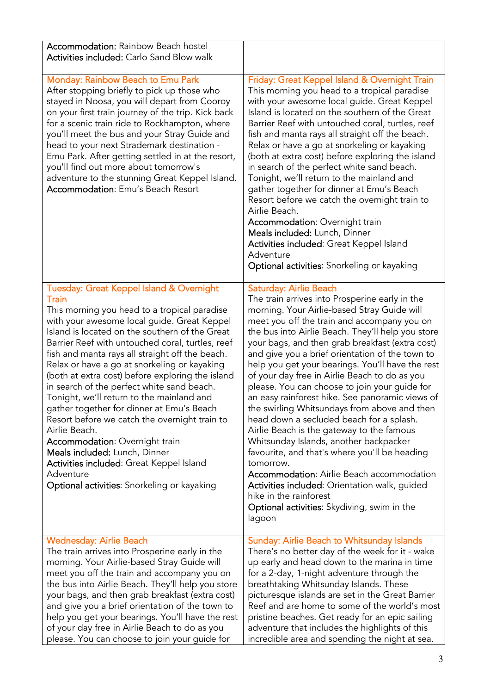| <b>Accommodation: Rainbow Beach hostel</b><br><b>Activities included: Carlo Sand Blow walk</b>                                                                                                                                                                                                                                                                                                                                                                                                                                                                                                                                                                                                                                                                                                     |                                                                                                                                                                                                                                                                                                                                                                                                                                                                                                                                                                                                                                                                                                                                                                                                                                                                                                                                                                              |
|----------------------------------------------------------------------------------------------------------------------------------------------------------------------------------------------------------------------------------------------------------------------------------------------------------------------------------------------------------------------------------------------------------------------------------------------------------------------------------------------------------------------------------------------------------------------------------------------------------------------------------------------------------------------------------------------------------------------------------------------------------------------------------------------------|------------------------------------------------------------------------------------------------------------------------------------------------------------------------------------------------------------------------------------------------------------------------------------------------------------------------------------------------------------------------------------------------------------------------------------------------------------------------------------------------------------------------------------------------------------------------------------------------------------------------------------------------------------------------------------------------------------------------------------------------------------------------------------------------------------------------------------------------------------------------------------------------------------------------------------------------------------------------------|
| Monday: Rainbow Beach to Emu Park<br>After stopping briefly to pick up those who<br>stayed in Noosa, you will depart from Cooroy<br>on your first train journey of the trip. Kick back<br>for a scenic train ride to Rockhampton, where<br>you'll meet the bus and your Stray Guide and<br>head to your next Strademark destination -<br>Emu Park. After getting settled in at the resort,<br>you'll find out more about tomorrow's<br>adventure to the stunning Great Keppel Island.<br><b>Accommodation:</b> Emu's Beach Resort                                                                                                                                                                                                                                                                  | Friday: Great Keppel Island & Overnight Train<br>This morning you head to a tropical paradise<br>with your awesome local guide. Great Keppel<br>Island is located on the southern of the Great<br>Barrier Reef with untouched coral, turtles, reef<br>fish and manta rays all straight off the beach.<br>Relax or have a go at snorkeling or kayaking<br>(both at extra cost) before exploring the island<br>in search of the perfect white sand beach.<br>Tonight, we'll return to the mainland and<br>gather together for dinner at Emu's Beach<br>Resort before we catch the overnight train to<br>Airlie Beach.<br><b>Accommodation: Overnight train</b><br>Meals included: Lunch, Dinner<br>Activities included: Great Keppel Island<br>Adventure<br>Optional activities: Snorkeling or kayaking                                                                                                                                                                        |
| Tuesday: Great Keppel Island & Overnight<br>Train<br>This morning you head to a tropical paradise<br>with your awesome local guide. Great Keppel<br>Island is located on the southern of the Great<br>Barrier Reef with untouched coral, turtles, reef<br>fish and manta rays all straight off the beach.<br>Relax or have a go at snorkeling or kayaking<br>(both at extra cost) before exploring the island<br>in search of the perfect white sand beach.<br>Tonight, we'll return to the mainland and<br>gather together for dinner at Emu's Beach<br>Resort before we catch the overnight train to<br>Airlie Beach.<br>Accommodation: Overnight train<br>Meals included: Lunch, Dinner<br>Activities included: Great Keppel Island<br>Adventure<br>Optional activities: Snorkeling or kayaking | Saturday: Airlie Beach<br>The train arrives into Prosperine early in the<br>morning. Your Airlie-based Stray Guide will<br>meet you off the train and accompany you on<br>the bus into Airlie Beach. They'll help you store<br>your bags, and then grab breakfast (extra cost)<br>and give you a brief orientation of the town to<br>help you get your bearings. You'll have the rest<br>of your day free in Airlie Beach to do as you<br>please. You can choose to join your guide for<br>an easy rainforest hike. See panoramic views of<br>the swirling Whitsundays from above and then<br>head down a secluded beach for a splash.<br>Airlie Beach is the gateway to the famous<br>Whitsunday Islands, another backpacker<br>favourite, and that's where you'll be heading<br>tomorrow.<br>Accommodation: Airlie Beach accommodation<br>Activities included: Orientation walk, guided<br>hike in the rainforest<br>Optional activities: Skydiving, swim in the<br>lagoon |
| <b>Wednesday: Airlie Beach</b><br>The train arrives into Prosperine early in the<br>morning. Your Airlie-based Stray Guide will<br>meet you off the train and accompany you on<br>the bus into Airlie Beach. They'll help you store<br>your bags, and then grab breakfast (extra cost)<br>and give you a brief orientation of the town to<br>help you get your bearings. You'll have the rest<br>of your day free in Airlie Beach to do as you<br>please. You can choose to join your guide for                                                                                                                                                                                                                                                                                                    | <b>Sunday: Airlie Beach to Whitsunday Islands</b><br>There's no better day of the week for it - wake<br>up early and head down to the marina in time<br>for a 2-day, 1-night adventure through the<br>breathtaking Whitsunday Islands. These<br>picturesque islands are set in the Great Barrier<br>Reef and are home to some of the world's most<br>pristine beaches. Get ready for an epic sailing<br>adventure that includes the highlights of this<br>incredible area and spending the night at sea.                                                                                                                                                                                                                                                                                                                                                                                                                                                                     |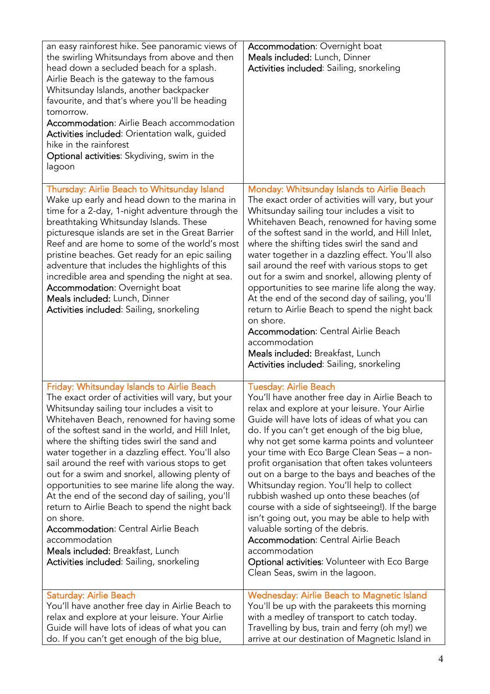| an easy rainforest hike. See panoramic views of<br>the swirling Whitsundays from above and then<br>head down a secluded beach for a splash.<br>Airlie Beach is the gateway to the famous<br>Whitsunday Islands, another backpacker<br>favourite, and that's where you'll be heading<br>tomorrow.<br><b>Accommodation:</b> Airlie Beach accommodation<br>Activities included: Orientation walk, guided<br>hike in the rainforest<br>Optional activities: Skydiving, swim in the<br>lagoon                                                                                                                                                                                                                                                                                     | Accommodation: Overnight boat<br>Meals included: Lunch, Dinner<br>Activities included: Sailing, snorkeling                                                                                                                                                                                                                                                                                                                                                                                                                                                                                                                                                                                                                                                                                                                 |
|------------------------------------------------------------------------------------------------------------------------------------------------------------------------------------------------------------------------------------------------------------------------------------------------------------------------------------------------------------------------------------------------------------------------------------------------------------------------------------------------------------------------------------------------------------------------------------------------------------------------------------------------------------------------------------------------------------------------------------------------------------------------------|----------------------------------------------------------------------------------------------------------------------------------------------------------------------------------------------------------------------------------------------------------------------------------------------------------------------------------------------------------------------------------------------------------------------------------------------------------------------------------------------------------------------------------------------------------------------------------------------------------------------------------------------------------------------------------------------------------------------------------------------------------------------------------------------------------------------------|
| Thursday: Airlie Beach to Whitsunday Island<br>Wake up early and head down to the marina in<br>time for a 2-day, 1-night adventure through the<br>breathtaking Whitsunday Islands. These<br>picturesque islands are set in the Great Barrier<br>Reef and are home to some of the world's most<br>pristine beaches. Get ready for an epic sailing<br>adventure that includes the highlights of this<br>incredible area and spending the night at sea.<br>Accommodation: Overnight boat<br>Meals included: Lunch, Dinner<br>Activities included: Sailing, snorkeling                                                                                                                                                                                                           | Monday: Whitsunday Islands to Airlie Beach<br>The exact order of activities will vary, but your<br>Whitsunday sailing tour includes a visit to<br>Whitehaven Beach, renowned for having some<br>of the softest sand in the world, and Hill Inlet,<br>where the shifting tides swirl the sand and<br>water together in a dazzling effect. You'll also<br>sail around the reef with various stops to get<br>out for a swim and snorkel, allowing plenty of<br>opportunities to see marine life along the way.<br>At the end of the second day of sailing, you'll<br>return to Airlie Beach to spend the night back<br>on shore.<br><b>Accommodation:</b> Central Airlie Beach<br>accommodation<br>Meals included: Breakfast, Lunch<br>Activities included: Sailing, snorkeling                                               |
| Friday: Whitsunday Islands to Airlie Beach<br>The exact order of activities will vary, but your<br>Whitsunday sailing tour includes a visit to<br>Whitehaven Beach, renowned for having some<br>of the softest sand in the world, and Hill Inlet,<br>where the shifting tides swirl the sand and<br>water together in a dazzling effect. You'll also<br>sail around the reef with various stops to get<br>out for a swim and snorkel, allowing plenty of<br>opportunities to see marine life along the way.<br>At the end of the second day of sailing, you'll<br>return to Airlie Beach to spend the night back<br>on shore.<br><b>Accommodation: Central Airlie Beach</b><br>accommodation<br>Meals included: Breakfast, Lunch<br>Activities included: Sailing, snorkeling | <b>Tuesday: Airlie Beach</b><br>You'll have another free day in Airlie Beach to<br>relax and explore at your leisure. Your Airlie<br>Guide will have lots of ideas of what you can<br>do. If you can't get enough of the big blue,<br>why not get some karma points and volunteer<br>your time with Eco Barge Clean Seas - a non-<br>profit organisation that often takes volunteers<br>out on a barge to the bays and beaches of the<br>Whitsunday region. You'll help to collect<br>rubbish washed up onto these beaches (of<br>course with a side of sightseeing!). If the barge<br>isn't going out, you may be able to help with<br>valuable sorting of the debris.<br><b>Accommodation:</b> Central Airlie Beach<br>accommodation<br>Optional activities: Volunteer with Eco Barge<br>Clean Seas, swim in the lagoon. |
| Saturday: Airlie Beach<br>You'll have another free day in Airlie Beach to<br>relax and explore at your leisure. Your Airlie<br>Guide will have lots of ideas of what you can<br>do. If you can't get enough of the big blue,                                                                                                                                                                                                                                                                                                                                                                                                                                                                                                                                                 | <b>Wednesday: Airlie Beach to Magnetic Island</b><br>You'll be up with the parakeets this morning<br>with a medley of transport to catch today.<br>Travelling by bus, train and ferry (oh my!) we<br>arrive at our destination of Magnetic Island in                                                                                                                                                                                                                                                                                                                                                                                                                                                                                                                                                                       |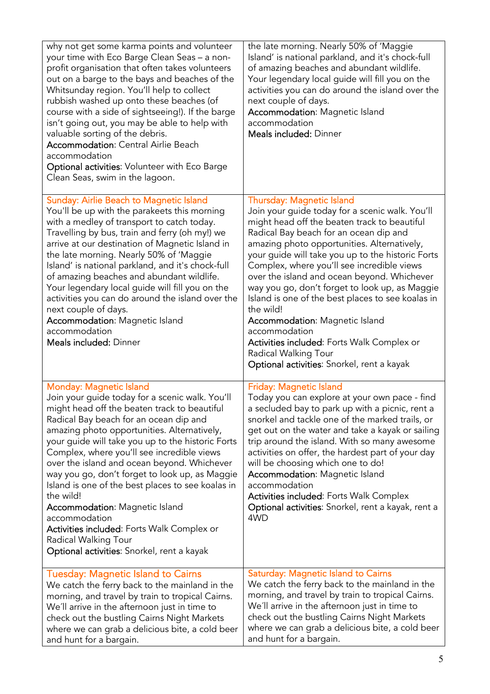| why not get some karma points and volunteer<br>your time with Eco Barge Clean Seas - a non-<br>profit organisation that often takes volunteers<br>out on a barge to the bays and beaches of the<br>Whitsunday region. You'll help to collect<br>rubbish washed up onto these beaches (of<br>course with a side of sightseeing!). If the barge<br>isn't going out, you may be able to help with<br>valuable sorting of the debris.<br><b>Accommodation: Central Airlie Beach</b><br>accommodation<br>Optional activities: Volunteer with Eco Barge<br>Clean Seas, swim in the lagoon.                                                                                           | the late morning. Nearly 50% of 'Maggie<br>Island' is national parkland, and it's chock-full<br>of amazing beaches and abundant wildlife.<br>Your legendary local guide will fill you on the<br>activities you can do around the island over the<br>next couple of days.<br>Accommodation: Magnetic Island<br>accommodation<br>Meals included: Dinner                                                                                                                                                                                                                                                                                                                     |
|--------------------------------------------------------------------------------------------------------------------------------------------------------------------------------------------------------------------------------------------------------------------------------------------------------------------------------------------------------------------------------------------------------------------------------------------------------------------------------------------------------------------------------------------------------------------------------------------------------------------------------------------------------------------------------|---------------------------------------------------------------------------------------------------------------------------------------------------------------------------------------------------------------------------------------------------------------------------------------------------------------------------------------------------------------------------------------------------------------------------------------------------------------------------------------------------------------------------------------------------------------------------------------------------------------------------------------------------------------------------|
| <b>Sunday: Airlie Beach to Magnetic Island</b><br>You'll be up with the parakeets this morning<br>with a medley of transport to catch today.<br>Travelling by bus, train and ferry (oh my!) we<br>arrive at our destination of Magnetic Island in<br>the late morning. Nearly 50% of 'Maggie<br>Island' is national parkland, and it's chock-full<br>of amazing beaches and abundant wildlife.<br>Your legendary local guide will fill you on the<br>activities you can do around the island over the<br>next couple of days.<br><b>Accommodation:</b> Magnetic Island<br>accommodation<br>Meals included: Dinner                                                              | Thursday: Magnetic Island<br>Join your guide today for a scenic walk. You'll<br>might head off the beaten track to beautiful<br>Radical Bay beach for an ocean dip and<br>amazing photo opportunities. Alternatively,<br>your guide will take you up to the historic Forts<br>Complex, where you'll see incredible views<br>over the island and ocean beyond. Whichever<br>way you go, don't forget to look up, as Maggie<br>Island is one of the best places to see koalas in<br>the wild!<br><b>Accommodation: Magnetic Island</b><br>accommodation<br>Activities included: Forts Walk Complex or<br>Radical Walking Tour<br>Optional activities: Snorkel, rent a kayak |
| <b>Monday: Magnetic Island</b><br>Join your guide today for a scenic walk. You'll<br>might head off the beaten track to beautiful<br>Radical Bay beach for an ocean dip and<br>amazing photo opportunities. Alternatively,<br>your guide will take you up to the historic Forts<br>Complex, where you'll see incredible views<br>over the island and ocean beyond. Whichever<br>way you go, don't forget to look up, as Maggie<br>Island is one of the best places to see koalas in<br>the wild!<br><b>Accommodation:</b> Magnetic Island<br>accommodation<br>Activities included: Forts Walk Complex or<br>Radical Walking Tour<br>Optional activities: Snorkel, rent a kayak | <b>Friday: Magnetic Island</b><br>Today you can explore at your own pace - find<br>a secluded bay to park up with a picnic, rent a<br>snorkel and tackle one of the marked trails, or<br>get out on the water and take a kayak or sailing<br>trip around the island. With so many awesome<br>activities on offer, the hardest part of your day<br>will be choosing which one to do!<br>Accommodation: Magnetic Island<br>accommodation<br>Activities included: Forts Walk Complex<br>Optional activities: Snorkel, rent a kayak, rent a<br>4WD                                                                                                                            |
| Tuesday: Magnetic Island to Cairns<br>We catch the ferry back to the mainland in the<br>morning, and travel by train to tropical Cairns.<br>We'll arrive in the afternoon just in time to<br>check out the bustling Cairns Night Markets<br>where we can grab a delicious bite, a cold beer<br>and hunt for a bargain.                                                                                                                                                                                                                                                                                                                                                         | <b>Saturday: Magnetic Island to Cairns</b><br>We catch the ferry back to the mainland in the<br>morning, and travel by train to tropical Cairns.<br>We'll arrive in the afternoon just in time to<br>check out the bustling Cairns Night Markets<br>where we can grab a delicious bite, a cold beer<br>and hunt for a bargain.                                                                                                                                                                                                                                                                                                                                            |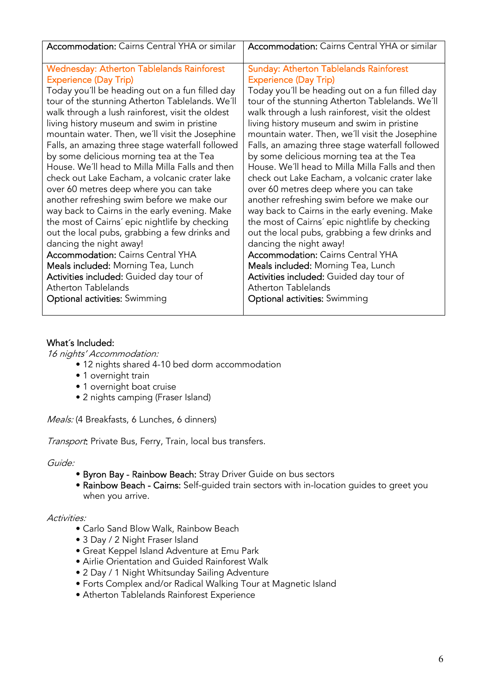| <b>Accommodation:</b> Cairns Central YHA or similar | <b>Accommodation:</b> Cairns Central YHA or similar |
|-----------------------------------------------------|-----------------------------------------------------|
| <b>Wednesday: Atherton Tablelands Rainforest</b>    | <b>Sunday: Atherton Tablelands Rainforest</b>       |
| <b>Experience (Day Trip)</b>                        | <b>Experience (Day Trip)</b>                        |
| Today you'll be heading out on a fun filled day     | Today you'll be heading out on a fun filled day     |
| tour of the stunning Atherton Tablelands. We'll     | tour of the stunning Atherton Tablelands. We'll     |
| walk through a lush rainforest, visit the oldest    | walk through a lush rainforest, visit the oldest    |
| living history museum and swim in pristine          | living history museum and swim in pristine          |
| mountain water. Then, we'll visit the Josephine     | mountain water. Then, we'll visit the Josephine     |
| Falls, an amazing three stage waterfall followed    | Falls, an amazing three stage waterfall followed    |
| by some delicious morning tea at the Tea            | by some delicious morning tea at the Tea            |
| House. We'll head to Milla Milla Falls and then     | House. We'll head to Milla Milla Falls and then     |
| check out Lake Eacham, a volcanic crater lake       | check out Lake Eacham, a volcanic crater lake       |
| over 60 metres deep where you can take              | over 60 metres deep where you can take              |
| another refreshing swim before we make our          | another refreshing swim before we make our          |
| way back to Cairns in the early evening. Make       | way back to Cairns in the early evening. Make       |
| the most of Cairns' epic nightlife by checking      | the most of Cairns' epic nightlife by checking      |
| out the local pubs, grabbing a few drinks and       | out the local pubs, grabbing a few drinks and       |
| dancing the night away!                             | dancing the night away!                             |
| <b>Accommodation: Cairns Central YHA</b>            | <b>Accommodation: Cairns Central YHA</b>            |
| Meals included: Morning Tea, Lunch                  | Meals included: Morning Tea, Lunch                  |
| Activities included: Guided day tour of             | Activities included: Guided day tour of             |
| <b>Atherton Tablelands</b>                          | <b>Atherton Tablelands</b>                          |
| <b>Optional activities:</b> Swimming                | <b>Optional activities:</b> Swimming                |

### What´s Included:

16 nights' Accommodation:

- 12 nights shared 4-10 bed dorm accommodation
- 1 overnight train
- 1 overnight boat cruise
- 2 nights camping (Fraser Island)

Meals: (4 Breakfasts, 6 Lunches, 6 dinners)

Transport: Private Bus, Ferry, Train, local bus transfers.

Guide:

- Byron Bay Rainbow Beach: Stray Driver Guide on bus sectors
- Rainbow Beach Cairns: Self-guided train sectors with in-location guides to greet you when you arrive.

Activities:

- Carlo Sand Blow Walk, Rainbow Beach
- 3 Day / 2 Night Fraser Island
- Great Keppel Island Adventure at Emu Park
- Airlie Orientation and Guided Rainforest Walk
- 2 Day / 1 Night Whitsunday Sailing Adventure
- Forts Complex and/or Radical Walking Tour at Magnetic Island
- Atherton Tablelands Rainforest Experience